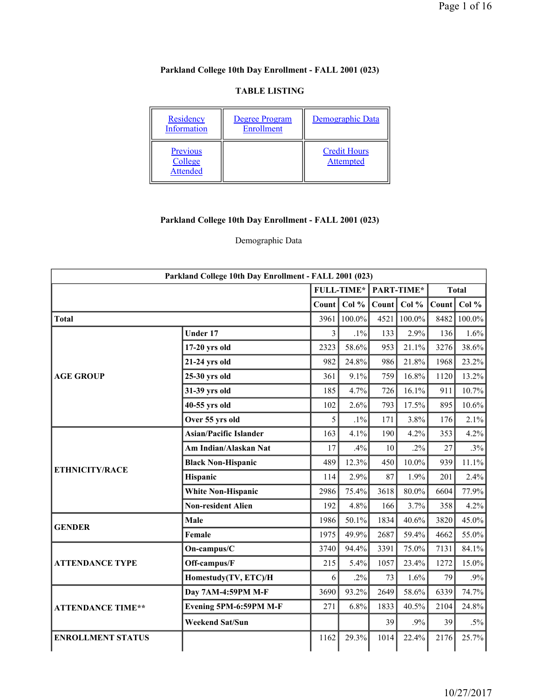# **Parkland College 10th Day Enrollment - FALL 2001 (023)**

#### **TABLE LISTING**

| Residency<br>Information               | Degree Program<br>Enrollment | Demographic Data                        |
|----------------------------------------|------------------------------|-----------------------------------------|
| Previous<br>College<br><b>Attended</b> |                              | <b>Credit Hours</b><br><b>Attempted</b> |

# **Parkland College 10th Day Enrollment - FALL 2001 (023)**

## Demographic Data

| Parkland College 10th Day Enrollment - FALL 2001 (023) |                               |       |                   |       |            |       |              |  |  |  |
|--------------------------------------------------------|-------------------------------|-------|-------------------|-------|------------|-------|--------------|--|--|--|
|                                                        |                               |       | <b>FULL-TIME*</b> |       | PART-TIME* |       | <b>Total</b> |  |  |  |
|                                                        |                               | Count | Col %             | Count | Col %      | Count | Col $%$      |  |  |  |
| <b>Total</b>                                           |                               | 3961  | 100.0%            | 4521  | 100.0%     | 8482  | 100.0%       |  |  |  |
|                                                        | <b>Under 17</b>               | 3     | $.1\%$            | 133   | 2.9%       | 136   | 1.6%         |  |  |  |
|                                                        | $17-20$ yrs old               | 2323  | 58.6%             | 953   | 21.1%      | 3276  | 38.6%        |  |  |  |
|                                                        | 21-24 yrs old                 | 982   | 24.8%             | 986   | 21.8%      | 1968  | 23.2%        |  |  |  |
| <b>AGE GROUP</b>                                       | 25-30 yrs old                 | 361   | 9.1%              | 759   | 16.8%      | 1120  | 13.2%        |  |  |  |
|                                                        | 31-39 yrs old                 | 185   | 4.7%              | 726   | 16.1%      | 911   | 10.7%        |  |  |  |
|                                                        | 40-55 yrs old                 | 102   | 2.6%              | 793   | 17.5%      | 895   | 10.6%        |  |  |  |
|                                                        | Over 55 yrs old               | 5     | $.1\%$            | 171   | 3.8%       | 176   | 2.1%         |  |  |  |
|                                                        | <b>Asian/Pacific Islander</b> | 163   | 4.1%              | 190   | 4.2%       | 353   | 4.2%         |  |  |  |
|                                                        | Am Indian/Alaskan Nat         | 17    | .4%               | 10    | $.2\%$     | 27    | .3%          |  |  |  |
| <b>ETHNICITY/RACE</b>                                  | <b>Black Non-Hispanic</b>     | 489   | 12.3%             | 450   | $10.0\%$   | 939   | 11.1%        |  |  |  |
|                                                        | Hispanic                      | 114   | 2.9%              | 87    | 1.9%       | 201   | 2.4%         |  |  |  |
|                                                        | <b>White Non-Hispanic</b>     | 2986  | 75.4%             | 3618  | 80.0%      | 6604  | 77.9%        |  |  |  |
|                                                        | <b>Non-resident Alien</b>     | 192   | 4.8%              | 166   | 3.7%       | 358   | 4.2%         |  |  |  |
| <b>GENDER</b>                                          | Male                          | 1986  | 50.1%             | 1834  | 40.6%      | 3820  | 45.0%        |  |  |  |
|                                                        | Female                        | 1975  | 49.9%             | 2687  | 59.4%      | 4662  | 55.0%        |  |  |  |
|                                                        | On-campus/C                   | 3740  | 94.4%             | 3391  | 75.0%      | 7131  | 84.1%        |  |  |  |
| <b>ATTENDANCE TYPE</b>                                 | Off-campus/F                  | 215   | 5.4%              | 1057  | 23.4%      | 1272  | 15.0%        |  |  |  |
|                                                        | Homestudy(TV, ETC)/H          | 6     | $.2\%$            | 73    | 1.6%       | 79    | .9%          |  |  |  |
|                                                        | Day 7AM-4:59PM M-F            | 3690  | 93.2%             | 2649  | 58.6%      | 6339  | 74.7%        |  |  |  |
| <b>ATTENDANCE TIME**</b>                               | Evening 5PM-6:59PM M-F        | 271   | 6.8%              | 1833  | 40.5%      | 2104  | 24.8%        |  |  |  |
|                                                        | <b>Weekend Sat/Sun</b>        |       |                   | 39    | .9%        | 39    | $.5\%$       |  |  |  |
| <b>ENROLLMENT STATUS</b>                               |                               | 1162  | 29.3%             | 1014  | 22.4%      | 2176  | 25.7%        |  |  |  |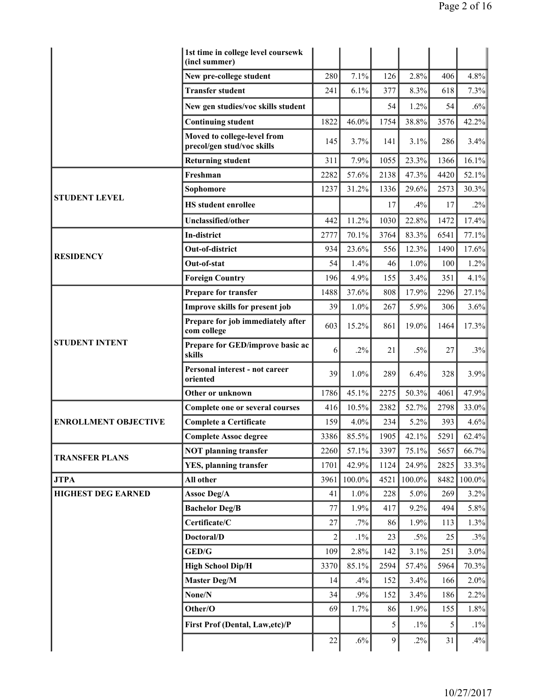|                             | 1st time in college level coursewk<br>(incl summer)       |                |         |      |           |      |        |
|-----------------------------|-----------------------------------------------------------|----------------|---------|------|-----------|------|--------|
|                             | New pre-college student                                   | 280            | 7.1%    | 126  | 2.8%      | 406  | 4.8%   |
|                             | <b>Transfer student</b>                                   | 241            | 6.1%    | 377  | 8.3%      | 618  | 7.3%   |
|                             | New gen studies/voc skills student                        |                |         | 54   | 1.2%      | 54   | $.6\%$ |
|                             | <b>Continuing student</b>                                 | 1822           | 46.0%   | 1754 | 38.8%     | 3576 | 42.2%  |
|                             | Moved to college-level from<br>precol/gen stud/voc skills | 145            | 3.7%    | 141  | 3.1%      | 286  | 3.4%   |
|                             | <b>Returning student</b>                                  | 311            | 7.9%    | 1055 | 23.3%     | 1366 | 16.1%  |
|                             | Freshman                                                  | 2282           | 57.6%   | 2138 | 47.3%     | 4420 | 52.1%  |
| <b>STUDENT LEVEL</b>        | Sophomore                                                 | 1237           | 31.2%   | 1336 | 29.6%     | 2573 | 30.3%  |
|                             | <b>HS</b> student enrollee                                |                |         | 17   | .4%       | 17   | .2%    |
|                             | Unclassified/other                                        | 442            | 11.2%   | 1030 | 22.8%     | 1472 | 17.4%  |
|                             | In-district                                               | 2777           | 70.1%   | 3764 | 83.3%     | 6541 | 77.1%  |
| <b>RESIDENCY</b>            | Out-of-district                                           | 934            | 23.6%   | 556  | 12.3%     | 1490 | 17.6%  |
|                             | Out-of-stat                                               | 54             | 1.4%    | 46   | 1.0%      | 100  | 1.2%   |
|                             | <b>Foreign Country</b>                                    | 196            | 4.9%    | 155  | 3.4%      | 351  | 4.1%   |
|                             | Prepare for transfer                                      | 1488           | 37.6%   | 808  | 17.9%     | 2296 | 27.1%  |
|                             | Improve skills for present job                            | 39             | 1.0%    | 267  | 5.9%      | 306  | 3.6%   |
| <b>STUDENT INTENT</b>       | Prepare for job immediately after<br>com college          | 603            | 15.2%   | 861  | 19.0%     | 1464 | 17.3%  |
|                             | Prepare for GED/improve basic ac<br>skills                | 6              | $.2\%$  | 21   | $.5\%$    | 27   | .3%    |
|                             | Personal interest - not career<br>oriented                | 39             | $1.0\%$ | 289  | 6.4%      | 328  | 3.9%   |
|                             | Other or unknown                                          | 1786           | 45.1%   | 2275 | 50.3%     | 4061 | 47.9%  |
|                             | Complete one or several courses                           | 416            | 10.5%   | 2382 | 52.7%     | 2798 | 33.0%  |
| <b>ENROLLMENT OBJECTIVE</b> | <b>Complete a Certificate</b>                             | 159            | 4.0%    | 234  | 5.2%      | 393  | 4.6%   |
|                             | <b>Complete Assoc degree</b>                              | 3386           | 85.5%   | 1905 | 42.1%     | 5291 | 62.4%  |
| <b>TRANSFER PLANS</b>       | <b>NOT planning transfer</b>                              | 2260           | 57.1%   | 3397 | 75.1%     | 5657 | 66.7%  |
|                             | <b>YES, planning transfer</b>                             | 1701           | 42.9%   | 1124 | 24.9%     | 2825 | 33.3%  |
| <b>JTPA</b>                 | All other                                                 | 3961           | 100.0%  | 4521 | $100.0\%$ | 8482 | 100.0% |
| <b>HIGHEST DEG EARNED</b>   | <b>Assoc Deg/A</b>                                        | 41             | 1.0%    | 228  | 5.0%      | 269  | 3.2%   |
|                             | <b>Bachelor Deg/B</b>                                     | 77             | 1.9%    | 417  | 9.2%      | 494  | 5.8%   |
|                             | Certificate/C                                             | 27             | .7%     | 86   | 1.9%      | 113  | 1.3%   |
|                             | Doctoral/D                                                | $\overline{c}$ | $.1\%$  | 23   | $.5\%$    | 25   | .3%    |
|                             | GED/G                                                     | 109            | 2.8%    | 142  | 3.1%      | 251  | 3.0%   |
|                             | <b>High School Dip/H</b>                                  | 3370           | 85.1%   | 2594 | 57.4%     | 5964 | 70.3%  |
|                             | <b>Master Deg/M</b>                                       | 14             | .4%     | 152  | 3.4%      | 166  | 2.0%   |
|                             | None/N                                                    | 34             | .9%     | 152  | 3.4%      | 186  | 2.2%   |
|                             | Other/O                                                   | 69             | 1.7%    | 86   | 1.9%      | 155  | 1.8%   |
|                             | First Prof (Dental, Law,etc)/P                            |                |         | 5    | $.1\%$    | 5    | $.1\%$ |
|                             |                                                           | 22             | $.6\%$  | 9    | $.2\%$    | 31   | .4%    |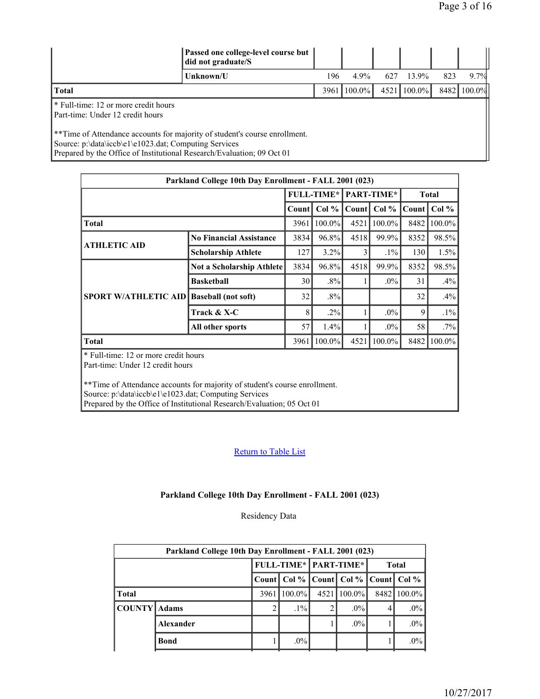|                                                                                                                                                                                                                           | Passed one college-level course but<br>did not graduate/S |                   |           |      |           |     |             |
|---------------------------------------------------------------------------------------------------------------------------------------------------------------------------------------------------------------------------|-----------------------------------------------------------|-------------------|-----------|------|-----------|-----|-------------|
| Unknown/U                                                                                                                                                                                                                 |                                                           | 196               | $4.9\%$   | 627  | 13.9%     | 823 | 9.7%        |
| <b>Total</b>                                                                                                                                                                                                              |                                                           | 3961 <sup>1</sup> | $100.0\%$ | 4521 | $100.0\%$ |     | 8482 100.0% |
| <sup>*</sup> Full-time: 12 or more credit hours<br>Part-time: Under 12 credit hours                                                                                                                                       |                                                           |                   |           |      |           |     |             |
| <sup>**</sup> Time of Attendance accounts for majority of student's course enrollment.<br>Source: p:\data\iccb\e1\e1023.dat; Computing Services<br>Prepared by the Office of Institutional Research/Evaluation; 09 Oct 01 |                                                           |                   |           |      |           |     |             |

| Parkland College 10th Day Enrollment - FALL 2001 (023)                                                                                                                                                                                                                                    |                                  |       |                   |       |               |              |         |  |  |  |
|-------------------------------------------------------------------------------------------------------------------------------------------------------------------------------------------------------------------------------------------------------------------------------------------|----------------------------------|-------|-------------------|-------|---------------|--------------|---------|--|--|--|
|                                                                                                                                                                                                                                                                                           |                                  |       | <b>FULL-TIME*</b> |       | PART-TIME*    | <b>Total</b> |         |  |  |  |
|                                                                                                                                                                                                                                                                                           |                                  | Count | Col %             | Count | Col % $\vert$ | Count        | Col $%$ |  |  |  |
| <b>Total</b>                                                                                                                                                                                                                                                                              |                                  | 3961  | $100.0\%$         | 4521  | 100.0%        | 8482         | 100.0%  |  |  |  |
| <b>ATHLETIC AID</b>                                                                                                                                                                                                                                                                       | <b>No Financial Assistance</b>   | 3834  | $96.8\%$          | 4518  | 99.9%         | 8352         | 98.5%   |  |  |  |
|                                                                                                                                                                                                                                                                                           | <b>Scholarship Athlete</b>       | 127   | $3.2\%$           | 3     | $.1\%$        | 130          | 1.5%    |  |  |  |
|                                                                                                                                                                                                                                                                                           | <b>Not a Scholarship Athlete</b> | 3834  | 96.8%             | 4518  | 99.9%         | 8352         | 98.5%   |  |  |  |
|                                                                                                                                                                                                                                                                                           | <b>Basketball</b>                | 30    | $.8\%$            | 1     | $.0\%$        | 31           | .4%     |  |  |  |
| <b>SPORT W/ATHLETIC AID</b>                                                                                                                                                                                                                                                               | <b>Baseball</b> (not soft)       | 32    | $.8\%$            |       |               | 32           | .4%     |  |  |  |
|                                                                                                                                                                                                                                                                                           | Track & X-C                      | 8     | $.2\%$            | 1     | $.0\%$        | 9            | $.1\%$  |  |  |  |
|                                                                                                                                                                                                                                                                                           | All other sports                 | 57    | 1.4%              |       | $.0\%$        | 58           | $.7\%$  |  |  |  |
| <b>Total</b>                                                                                                                                                                                                                                                                              |                                  | 3961  | 100.0%            | 4521  | 100.0%        | 8482         | 100.0%  |  |  |  |
| * Full-time: 12 or more credit hours<br>Part-time: Under 12 credit hours<br>**Time of Attendance accounts for majority of student's course enrollment.<br>Source: p:\data\iccb\e1\e1023.dat; Computing Services<br>Prepared by the Office of Institutional Research/Evaluation; 05 Oct 01 |                                  |       |                   |       |               |              |         |  |  |  |

## Return to Table List

#### **Parkland College 10th Day Enrollment - FALL 2001 (023)**

Residency Data

|                     | Parkland College 10th Day Enrollment - FALL 2001 (023) |              |                              |   |                                       |             |        |  |  |  |  |  |
|---------------------|--------------------------------------------------------|--------------|------------------------------|---|---------------------------------------|-------------|--------|--|--|--|--|--|
|                     |                                                        |              | <b>FULL-TIME* PART-TIME*</b> |   |                                       | Total       |        |  |  |  |  |  |
|                     |                                                        | <b>Count</b> |                              |   | Col %   Count   Col %   Count   Col % |             |        |  |  |  |  |  |
| <b>Total</b>        |                                                        | 3961         | $100.0\%$                    |   | $4521$   100.0%                       | 8482 100.0% |        |  |  |  |  |  |
| <b>COUNTY</b> Adams |                                                        |              | $.1\%$                       | 2 | $.0\%$                                | 4           | $.0\%$ |  |  |  |  |  |
|                     | Alexander                                              |              |                              |   | $.0\%$                                |             | $.0\%$ |  |  |  |  |  |
|                     | <b>Bond</b>                                            |              | $.0\%$                       |   |                                       |             | $.0\%$ |  |  |  |  |  |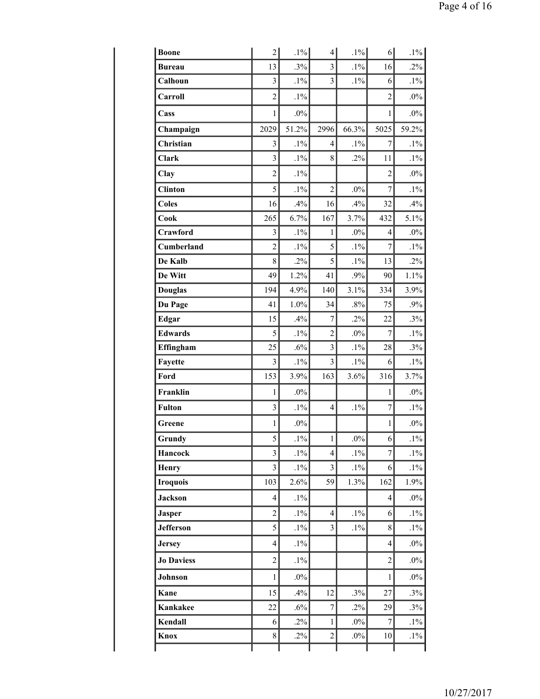| <b>Boone</b>      | $\overline{2}$          | $.1\%$ | $\overline{4}$          | $.1\%$ | 6              | $.1\%$ |
|-------------------|-------------------------|--------|-------------------------|--------|----------------|--------|
| <b>Bureau</b>     | 13                      | .3%    | $\overline{3}$          | $.1\%$ | 16             | $.2\%$ |
| Calhoun           | $\overline{3}$          | $.1\%$ | $\overline{3}$          | $.1\%$ | 6              | $.1\%$ |
| Carroll           | $\overline{2}$          | $.1\%$ |                         |        | $\overline{2}$ | $.0\%$ |
| Cass              | 1                       | $.0\%$ |                         |        | 1              | $.0\%$ |
| Champaign         | 2029                    | 51.2%  | 2996                    | 66.3%  | 5025           | 59.2%  |
| Christian         | 3                       | $.1\%$ | 4                       | $.1\%$ | 7              | $.1\%$ |
| <b>Clark</b>      | $\overline{3}$          | $.1\%$ | 8                       | $.2\%$ | 11             | $.1\%$ |
| Clay              | $\overline{2}$          | $.1\%$ |                         |        | $\overline{2}$ | $.0\%$ |
| <b>Clinton</b>    | 5                       | $.1\%$ | $\overline{c}$          | $.0\%$ | 7              | $.1\%$ |
| <b>Coles</b>      | 16                      | .4%    | 16                      | .4%    | 32             | .4%    |
| Cook              | 265                     | 6.7%   | 167                     | 3.7%   | 432            | 5.1%   |
| Crawford          | 3                       | $.1\%$ | 1                       | $.0\%$ | 4              | $.0\%$ |
| Cumberland        | $\overline{2}$          | $.1\%$ | 5                       | $.1\%$ | $\overline{7}$ | $.1\%$ |
| De Kalb           | 8                       | $.2\%$ | 5                       | $.1\%$ | 13             | $.2\%$ |
| De Witt           | 49                      | 1.2%   | 41                      | .9%    | 90             | 1.1%   |
| <b>Douglas</b>    | 194                     | 4.9%   | 140                     | 3.1%   | 334            | 3.9%   |
| Du Page           | 41                      | 1.0%   | 34                      | $.8\%$ | 75             | $.9\%$ |
| <b>Edgar</b>      | 15                      | .4%    | 7                       | $.2\%$ | 22             | .3%    |
| <b>Edwards</b>    | 5                       | $.1\%$ | $\overline{c}$          | $.0\%$ | 7              | $.1\%$ |
| Effingham         | 25                      | .6%    | $\overline{\mathbf{3}}$ | $.1\%$ | 28             | .3%    |
| Fayette           | $\overline{3}$          | $.1\%$ | $\overline{3}$          | $.1\%$ | 6              | $.1\%$ |
| Ford              | 153                     | 3.9%   | 163                     | 3.6%   | 316            | 3.7%   |
| Franklin          | 1                       | $.0\%$ |                         |        | 1              | $.0\%$ |
| <b>Fulton</b>     | 3                       | $.1\%$ | $\overline{4}$          | $.1\%$ | 7              | $.1\%$ |
| Greene            | 1                       | $.0\%$ |                         |        | 1              | $.0\%$ |
| Grundy            | 5                       | $.1\%$ | $\mathbf{1}$            | $.0\%$ | 6              | $.1\%$ |
| Hancock           | $\overline{3}$          | $.1\%$ | $\overline{4}$          | $.1\%$ | $\overline{7}$ | $.1\%$ |
| <b>Henry</b>      | $\overline{\mathbf{3}}$ | $.1\%$ | $\overline{3}$          | $.1\%$ | 6              | $.1\%$ |
| <b>Iroquois</b>   | 103                     | 2.6%   | 59                      | 1.3%   | 162            | 1.9%   |
| <b>Jackson</b>    | 4                       | $.1\%$ |                         |        | $\overline{4}$ | $.0\%$ |
| <b>Jasper</b>     | $\overline{2}$          | $.1\%$ | $\overline{4}$          | $.1\%$ | 6              | $.1\%$ |
| <b>Jefferson</b>  | 5                       | $.1\%$ | $\overline{\mathbf{3}}$ | $.1\%$ | $\,8\,$        | $.1\%$ |
| <b>Jersey</b>     | $\overline{4}$          | $.1\%$ |                         |        | $\overline{4}$ | $.0\%$ |
| <b>Jo Daviess</b> | $\overline{c}$          | $.1\%$ |                         |        | $\overline{c}$ | $.0\%$ |
| Johnson           | $\mathbf{1}$            | $.0\%$ |                         |        | 1              | $.0\%$ |
| Kane              | 15                      | .4%    | 12                      | .3%    | 27             | .3%    |
| Kankakee          | 22                      | $.6\%$ | $\overline{7}$          | $.2\%$ | 29             | .3%    |
| Kendall           | 6                       | $.2\%$ | $\mathbf{1}$            | $.0\%$ | 7              | $.1\%$ |
| Knox              | 8                       | $.2\%$ | $\overline{c}$          | $.0\%$ | 10             | $.1\%$ |
|                   |                         |        |                         |        |                |        |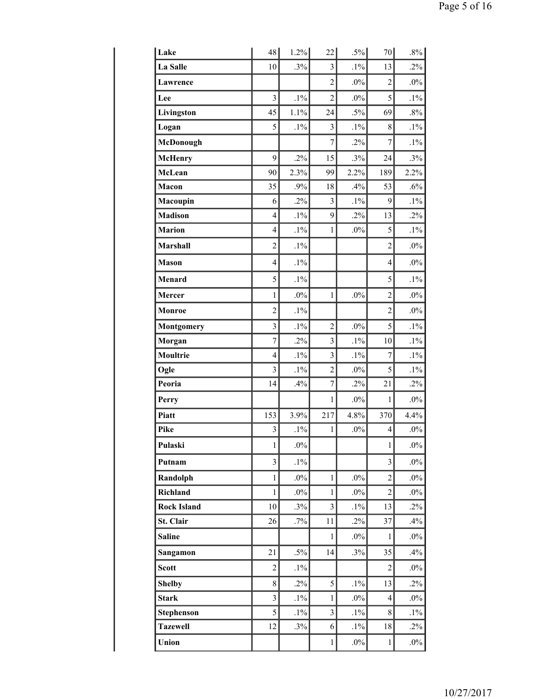| 48                      | 1.2%   | 22                      |        | 70             | $.8\%$ |
|-------------------------|--------|-------------------------|--------|----------------|--------|
| 10                      | .3%    | $\overline{\mathbf{3}}$ | $.1\%$ | 13             | $.2\%$ |
|                         |        | $\overline{c}$          | $.0\%$ | $\overline{c}$ | $.0\%$ |
| $\overline{\mathbf{3}}$ | $.1\%$ | $\overline{2}$          | $.0\%$ | 5              | $.1\%$ |
| 45                      | 1.1%   | 24                      | $.5\%$ | 69             | $.8\%$ |
| 5                       | $.1\%$ | $\overline{\mathbf{3}}$ | $.1\%$ | 8              | $.1\%$ |
|                         |        | $\overline{7}$          | $.2\%$ | 7              | $.1\%$ |
| 9                       | $.2\%$ | 15                      | .3%    | 24             | .3%    |
| 90                      | 2.3%   | 99                      | 2.2%   | 189            | 2.2%   |
| 35                      | .9%    | 18                      | .4%    | 53             | $.6\%$ |
| 6                       | $.2\%$ | $\overline{\mathbf{3}}$ | $.1\%$ | 9              | $.1\%$ |
| $\overline{4}$          | $.1\%$ | 9                       | $.2\%$ | 13             | $.2\%$ |
| $\overline{4}$          | $.1\%$ | $\mathbf{1}$            | $.0\%$ | 5              | $.1\%$ |
| $\overline{2}$          | $.1\%$ |                         |        | $\overline{2}$ | $.0\%$ |
| $\overline{4}$          | $.1\%$ |                         |        | $\overline{4}$ | $.0\%$ |
| 5                       | $.1\%$ |                         |        | 5              | $.1\%$ |
| $\mathbf{1}$            | $.0\%$ | $\mathbf{1}$            | $.0\%$ | $\overline{2}$ | $.0\%$ |
| $\overline{c}$          | $.1\%$ |                         |        | $\overline{2}$ | $.0\%$ |
| $\overline{3}$          | $.1\%$ | $\overline{2}$          | $.0\%$ | 5              | $.1\%$ |
| $\tau$                  | $.2\%$ | $\overline{\mathbf{3}}$ | $.1\%$ | 10             | $.1\%$ |
| $\overline{4}$          | $.1\%$ | $\overline{3}$          | $.1\%$ | 7              | $.1\%$ |
| 3                       | $.1\%$ | $\overline{c}$          | $.0\%$ | 5              | $.1\%$ |
| 14                      | .4%    | $\overline{7}$          | $.2\%$ | 21             | $.2\%$ |
|                         |        | $\mathbf{1}$            | $.0\%$ | 1              | $.0\%$ |
| 153                     | 3.9%   | 217                     | 4.8%   | 370            | 4.4%   |
| $\mathfrak{Z}$          | $.1\%$ | $\mathbf{1}$            | $.0\%$ | 4              | $.0\%$ |
| 1                       | $.0\%$ |                         |        | 1              | $.0\%$ |
| 3                       | $.1\%$ |                         |        | 3              | $.0\%$ |
| $\mathbf{1}$            | $.0\%$ | $\mathbf{1}$            | $.0\%$ | $\overline{c}$ | $.0\%$ |
| $\mathbf{1}$            | $.0\%$ | $\mathbf{1}$            | $.0\%$ | $\overline{c}$ | $.0\%$ |
| 10                      | $.3\%$ | $\overline{3}$          | $.1\%$ | 13             | $.2\%$ |
| 26                      | $.7\%$ | 11                      | $.2\%$ | 37             | .4%    |
|                         |        | $\mathbf{1}$            | $.0\%$ | 1              | $.0\%$ |
| 21                      | $.5\%$ | 14                      | $.3\%$ | 35             | .4%    |
| $\overline{2}$          | $.1\%$ |                         |        | $\overline{2}$ | $.0\%$ |
| 8                       | $.2\%$ | 5                       | $.1\%$ | 13             | $.2\%$ |
| $\overline{3}$          | $.1\%$ | $\mathbf{1}$            | $.0\%$ | $\overline{4}$ | $.0\%$ |
| 5                       | $.1\%$ | $\overline{3}$          | $.1\%$ | 8              | $.1\%$ |
| 12                      | .3%    | 6                       | $.1\%$ | 18             | $.2\%$ |
|                         |        | $\mathbf{1}$            | $.0\%$ | 1              | $.0\%$ |
|                         |        |                         |        |                | $.5\%$ |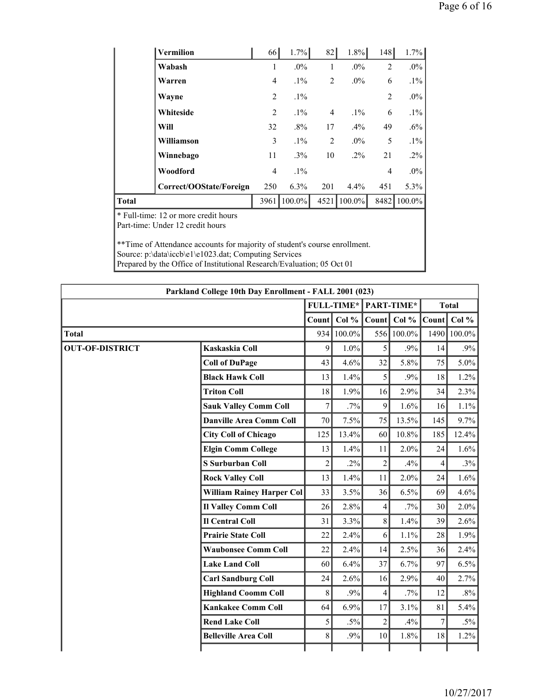|              | Vermilion                                                                | 66             | 1.7%      | 82             | $1.8\%$   | 148            | 1.7%    |
|--------------|--------------------------------------------------------------------------|----------------|-----------|----------------|-----------|----------------|---------|
|              | Wabash                                                                   | $\mathbf{1}$   | $.0\%$    | 1              | $.0\%$    | $\overline{2}$ | $.0\%$  |
|              | Warren                                                                   | $\overline{4}$ | $.1\%$    | $\overline{2}$ | $.0\%$    | 6              | $.1\%$  |
|              | Wayne                                                                    | 2              | $.1\%$    |                |           | $\overline{2}$ | $.0\%$  |
|              | Whiteside                                                                | $\overline{2}$ | $.1\%$    | 4              | $.1\%$    | 6              | $.1\%$  |
|              | Will                                                                     | 32             | $.8\%$    | 17             | $.4\%$    | 49             | $.6\%$  |
|              | Williamson                                                               | 3              | $.1\%$    | 2              | $.0\%$    | 5              | $.1\%$  |
|              | Winnebago                                                                | 11             | $.3\%$    | 10             | $.2\%$    | 21             | $.2\%$  |
|              | Woodford                                                                 | $\overline{4}$ | $.1\%$    |                |           | $\overline{4}$ | $.0\%$  |
|              | Correct/OOState/Foreign                                                  | 250            | $6.3\%$   | 201            | 4.4%      | 451            | $5.3\%$ |
| <b>Total</b> |                                                                          | 3961           | $100.0\%$ | 4521           | $100.0\%$ | 8482           | 100.0%  |
|              | * Full-time: 12 or more credit hours<br>Part-time: Under 12 credit hours |                |           |                |           |                |         |

\*\*Time of Attendance accounts for majority of student's course enrollment. Source: p:\data\iccb\e1\e1023.dat; Computing Services Prepared by the Office of Institutional Research/Evaluation; 05 Oct 01

| Parkland College 10th Day Enrollment - FALL 2001 (023) |                                  |                |                   |                |            |                |              |  |  |  |  |
|--------------------------------------------------------|----------------------------------|----------------|-------------------|----------------|------------|----------------|--------------|--|--|--|--|
|                                                        |                                  |                | <b>FULL-TIME*</b> |                | PART-TIME* |                | <b>Total</b> |  |  |  |  |
|                                                        |                                  | Count          | Col %             | Count          | Col %      | Count          | Col $%$      |  |  |  |  |
| <b>Total</b>                                           |                                  | 934            | 100.0%            | 556            | 100.0%     | 1490           | 100.0%       |  |  |  |  |
| <b>OUT-OF-DISTRICT</b>                                 | Kaskaskia Coll                   | 9              | 1.0%              | 5              | .9%        | 14             | .9%          |  |  |  |  |
|                                                        | <b>Coll of DuPage</b>            | 43             | 4.6%              | 32             | 5.8%       | 75             | $5.0\%$      |  |  |  |  |
|                                                        | <b>Black Hawk Coll</b>           | 13             | 1.4%              | 5              | .9%        | 18             | 1.2%         |  |  |  |  |
|                                                        | <b>Triton Coll</b>               | 18             | 1.9%              | 16             | 2.9%       | 34             | 2.3%         |  |  |  |  |
|                                                        | <b>Sauk Valley Comm Coll</b>     | $\overline{7}$ | $.7\%$            | 9              | 1.6%       | 16             | 1.1%         |  |  |  |  |
|                                                        | <b>Danville Area Comm Coll</b>   | 70             | 7.5%              | 75             | 13.5%      | 145            | 9.7%         |  |  |  |  |
|                                                        | <b>City Coll of Chicago</b>      | 125            | 13.4%             | 60             | 10.8%      | 185            | 12.4%        |  |  |  |  |
|                                                        | <b>Elgin Comm College</b>        | 13             | 1.4%              | 11             | 2.0%       | 24             | 1.6%         |  |  |  |  |
|                                                        | <b>S</b> Surburban Coll          | $\overline{c}$ | $.2\%$            | $\overline{2}$ | .4%        | $\overline{4}$ | .3%          |  |  |  |  |
|                                                        | <b>Rock Valley Coll</b>          | 13             | 1.4%              | 11             | 2.0%       | 24             | 1.6%         |  |  |  |  |
|                                                        | <b>William Rainey Harper Col</b> | 33             | 3.5%              | 36             | 6.5%       | 69             | 4.6%         |  |  |  |  |
|                                                        | <b>Il Valley Comm Coll</b>       | 26             | 2.8%              | $\overline{4}$ | $.7\%$     | 30             | 2.0%         |  |  |  |  |
|                                                        | <b>Il Central Coll</b>           | 31             | 3.3%              | 8              | 1.4%       | 39             | 2.6%         |  |  |  |  |
|                                                        | <b>Prairie State Coll</b>        | 22             | 2.4%              | 6              | 1.1%       | 28             | 1.9%         |  |  |  |  |
|                                                        | <b>Waubonsee Comm Coll</b>       | 22             | 2.4%              | 14             | 2.5%       | 36             | 2.4%         |  |  |  |  |
|                                                        | <b>Lake Land Coll</b>            | 60             | 6.4%              | 37             | 6.7%       | 97             | 6.5%         |  |  |  |  |
|                                                        | <b>Carl Sandburg Coll</b>        | 24             | 2.6%              | 16             | 2.9%       | 40             | 2.7%         |  |  |  |  |
|                                                        | <b>Highland Coomm Coll</b>       | 8              | .9%               | $\overline{4}$ | .7%        | 12             | $.8\%$       |  |  |  |  |
|                                                        | <b>Kankakee Comm Coll</b>        | 64             | 6.9%              | 17             | 3.1%       | 81             | 5.4%         |  |  |  |  |
|                                                        | <b>Rend Lake Coll</b>            | 5              | $.5\%$            | $\overline{2}$ | .4%        | 7              | $.5\%$       |  |  |  |  |
|                                                        | <b>Belleville Area Coll</b>      | 8              | .9%               | 10             | 1.8%       | 18             | 1.2%         |  |  |  |  |
|                                                        |                                  |                |                   |                |            |                |              |  |  |  |  |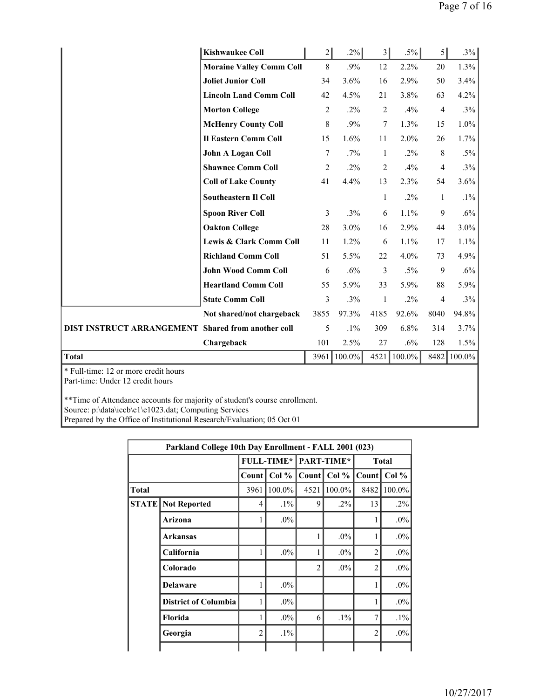|                                                           | <b>Kishwaukee Coll</b>             | $\overline{2}$ | .2%    | 3 <sup>1</sup> | $.5\%$ | $\vert$        | .3%    |
|-----------------------------------------------------------|------------------------------------|----------------|--------|----------------|--------|----------------|--------|
|                                                           | <b>Moraine Valley Comm Coll</b>    | 8              | .9%    | 12             | 2.2%   | 20             | 1.3%   |
|                                                           | <b>Joliet Junior Coll</b>          | 34             | 3.6%   | 16             | 2.9%   | 50             | 3.4%   |
|                                                           | <b>Lincoln Land Comm Coll</b>      | 42             | 4.5%   | 21             | 3.8%   | 63             | 4.2%   |
|                                                           | <b>Morton College</b>              | $\overline{2}$ | $.2\%$ | $\overline{2}$ | .4%    | $\overline{4}$ | .3%    |
|                                                           | <b>McHenry County Coll</b>         | 8              | .9%    | $\tau$         | 1.3%   | 15             | 1.0%   |
|                                                           | <b>Il Eastern Comm Coll</b>        | 15             | 1.6%   | 11             | 2.0%   | 26             | 1.7%   |
|                                                           | <b>John A Logan Coll</b>           | 7              | $.7\%$ | $\mathbf{1}$   | $.2\%$ | 8              | $.5\%$ |
|                                                           | <b>Shawnee Comm Coll</b>           | $\overline{c}$ | $.2\%$ | $\overline{2}$ | .4%    | 4              | $.3\%$ |
|                                                           | <b>Coll of Lake County</b>         | 41             | 4.4%   | 13             | 2.3%   | 54             | 3.6%   |
|                                                           | <b>Southeastern II Coll</b>        |                |        | 1              | $.2\%$ | $\mathbf{1}$   | $.1\%$ |
|                                                           | <b>Spoon River Coll</b>            | 3              | .3%    | 6              | 1.1%   | 9              | $.6\%$ |
|                                                           | <b>Oakton College</b>              | 28             | 3.0%   | 16             | 2.9%   | 44             | 3.0%   |
|                                                           | <b>Lewis &amp; Clark Comm Coll</b> | 11             | 1.2%   | 6              | 1.1%   | 17             | 1.1%   |
|                                                           | <b>Richland Comm Coll</b>          | 51             | 5.5%   | 22             | 4.0%   | 73             | 4.9%   |
|                                                           | <b>John Wood Comm Coll</b>         | 6              | .6%    | 3              | $.5\%$ | 9              | $.6\%$ |
|                                                           | <b>Heartland Comm Coll</b>         | 55             | 5.9%   | 33             | 5.9%   | $88\,$         | 5.9%   |
|                                                           | <b>State Comm Coll</b>             | 3              | .3%    | $\mathbf{1}$   | $.2\%$ | $\overline{4}$ | $.3\%$ |
|                                                           | Not shared/not chargeback          | 3855           | 97.3%  | 4185           | 92.6%  | 8040           | 94.8%  |
| <b>DIST INSTRUCT ARRANGEMENT Shared from another coll</b> |                                    | 5              | $.1\%$ | 309            | 6.8%   | 314            | 3.7%   |
|                                                           | Chargeback                         | 101            | 2.5%   | 27             | $.6\%$ | 128            | 1.5%   |
| <b>Total</b>                                              |                                    | 3961           | 100.0% | 4521           | 100.0% | 8482           | 100.0% |

\* Full-time: 12 or more credit hours Part-time: Under 12 credit hours

\*\*Time of Attendance accounts for majority of student's course enrollment. Source: p:\data\iccb\e1\e1023.dat; Computing Services Prepared by the Office of Institutional Research/Evaluation; 05 Oct 01

|              | Parkland College 10th Day Enrollment - FALL 2001 (023) |                |                   |                |            |                |              |  |  |  |  |  |  |
|--------------|--------------------------------------------------------|----------------|-------------------|----------------|------------|----------------|--------------|--|--|--|--|--|--|
|              |                                                        |                | <b>FULL-TIME*</b> |                | PART-TIME* |                | <b>Total</b> |  |  |  |  |  |  |
|              |                                                        | Count          | Col %             | Count          | Col %      | Count          | Col %        |  |  |  |  |  |  |
| Total        |                                                        | 3961           | 100.0%            | 4521           | 100.0%     | 8482           | 100.0%       |  |  |  |  |  |  |
| <b>STATE</b> | <b>Not Reported</b>                                    | 4              | $.1\%$            | 9              | $.2\%$     | 13             | $.2\%$       |  |  |  |  |  |  |
|              | Arizona                                                | 1              | $.0\%$            |                |            |                | $.0\%$       |  |  |  |  |  |  |
|              | <b>Arkansas</b>                                        |                |                   | 1              | $.0\%$     | 1              | $.0\%$       |  |  |  |  |  |  |
|              | California                                             | 1              | $.0\%$            | 1              | $.0\%$     | $\overline{2}$ | $.0\%$       |  |  |  |  |  |  |
|              | Colorado                                               |                |                   | $\overline{2}$ | $.0\%$     | $\overline{2}$ | $.0\%$       |  |  |  |  |  |  |
|              | <b>Delaware</b>                                        | 1              | $.0\%$            |                |            |                | $.0\%$       |  |  |  |  |  |  |
|              | <b>District of Columbia</b>                            | 1              | $.0\%$            |                |            |                | $.0\%$       |  |  |  |  |  |  |
|              | Florida                                                |                | $.0\%$            | 6              | $.1\%$     | 7              | $.1\%$       |  |  |  |  |  |  |
|              | Georgia                                                | $\overline{2}$ | $.1\%$            |                |            | $\overline{c}$ | $.0\%$       |  |  |  |  |  |  |
|              |                                                        |                |                   |                |            |                |              |  |  |  |  |  |  |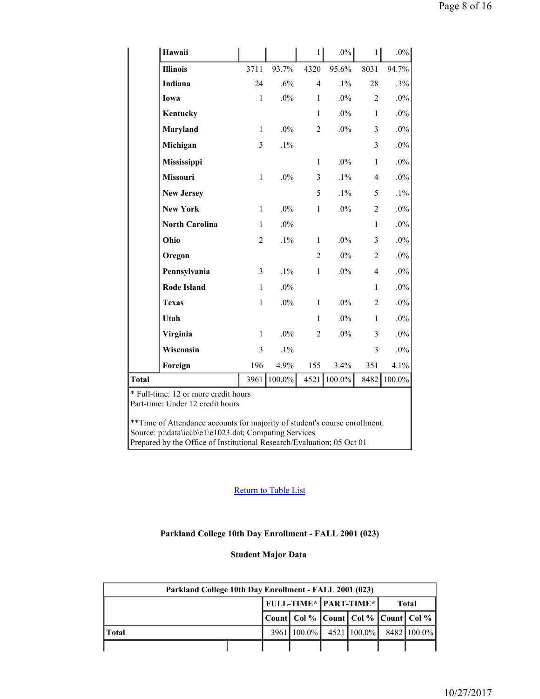| Hawaii                                                                   |                |        | $1\vert$       | $.0\%$ | 1              | $.0\%$ |
|--------------------------------------------------------------------------|----------------|--------|----------------|--------|----------------|--------|
| <b>Illinois</b>                                                          | 3711           | 93.7%  | 4320           | 95.6%  | 8031           | 94.7%  |
| Indiana                                                                  | 24             | .6%    | $\overline{4}$ | $.1\%$ | 28             | .3%    |
| Iowa                                                                     | $\mathbf{1}$   | $.0\%$ | $\mathbf{1}$   | $.0\%$ | $\overline{2}$ | $.0\%$ |
| <b>Kentucky</b>                                                          |                |        | $\mathbf{1}$   | $.0\%$ | $\mathbf{1}$   | $.0\%$ |
| Maryland                                                                 | $\mathbf{1}$   | $.0\%$ | $\overline{c}$ | $.0\%$ | 3              | $.0\%$ |
| Michigan                                                                 | 3              | $.1\%$ |                |        | 3              | $.0\%$ |
| Mississippi                                                              |                |        | $\mathbf{1}$   | $.0\%$ | $\mathbf{1}$   | $.0\%$ |
| Missouri                                                                 | $\mathbf{1}$   | $.0\%$ | 3              | $.1\%$ | $\overline{4}$ | $.0\%$ |
| <b>New Jersey</b>                                                        |                |        | 5              | $.1\%$ | 5              | $.1\%$ |
| <b>New York</b>                                                          | $\mathbf{1}$   | $.0\%$ | $\mathbf{1}$   | $.0\%$ | $\overline{2}$ | $.0\%$ |
| <b>North Carolina</b>                                                    | $\mathbf{1}$   | $.0\%$ |                |        | $\mathbf{1}$   | $.0\%$ |
| Ohio                                                                     | $\overline{c}$ | $.1\%$ | $\mathbf{1}$   | $.0\%$ | $\overline{3}$ | $.0\%$ |
| Oregon                                                                   |                |        | $\overline{c}$ | $.0\%$ | $\overline{2}$ | $.0\%$ |
| Pennsylvania                                                             | 3              | $.1\%$ | $\mathbf{1}$   | $.0\%$ | $\overline{4}$ | $.0\%$ |
| <b>Rode Island</b>                                                       | $\mathbf{1}$   | $.0\%$ |                |        | $\mathbf{1}$   | $.0\%$ |
| <b>Texas</b>                                                             | $\mathbf{1}$   | $.0\%$ | $\mathbf{1}$   | $.0\%$ | $\overline{2}$ | $.0\%$ |
| Utah                                                                     |                |        | $\mathbf{1}$   | $.0\%$ | $\mathbf{1}$   | $.0\%$ |
| Virginia                                                                 | $\mathbf{1}$   | $.0\%$ | $\overline{c}$ | $.0\%$ | $\overline{3}$ | $.0\%$ |
| Wisconsin                                                                | 3              | $.1\%$ |                |        | 3              | $.0\%$ |
| Foreign                                                                  | 196            | 4.9%   | 155            | 3.4%   | 351            | 4.1%   |
| <b>Total</b>                                                             | 3961           | 100.0% | 4521           | 100.0% | 8482           | 100.0% |
| * Full-time: 12 or more credit hours<br>Part-time: Under 12 credit hours |                |        |                |        |                |        |

\*\*Time of Attendance accounts for majority of student's course enrollment. Source: p:\data\iccb\e1\e1023.dat; Computing Services Prepared by the Office of Institutional Research/Evaluation; 05 Oct 01

#### Return to Table List

#### **Parkland College 10th Day Enrollment - FALL 2001 (023)**

#### **Student Major Data**

| Parkland College 10th Day Enrollment - FALL 2001 (023) |  |  |                                              |  |                               |  |       |  |  |  |
|--------------------------------------------------------|--|--|----------------------------------------------|--|-------------------------------|--|-------|--|--|--|
|                                                        |  |  | <b>FULL-TIME*   PART-TIME*  </b>             |  |                               |  | Total |  |  |  |
|                                                        |  |  | Count  Col %   Count   Col %   Count   Col % |  |                               |  |       |  |  |  |
| l Total                                                |  |  | $39611100.0\%$                               |  | 4521   100.0%   8482   100.0% |  |       |  |  |  |
|                                                        |  |  |                                              |  |                               |  |       |  |  |  |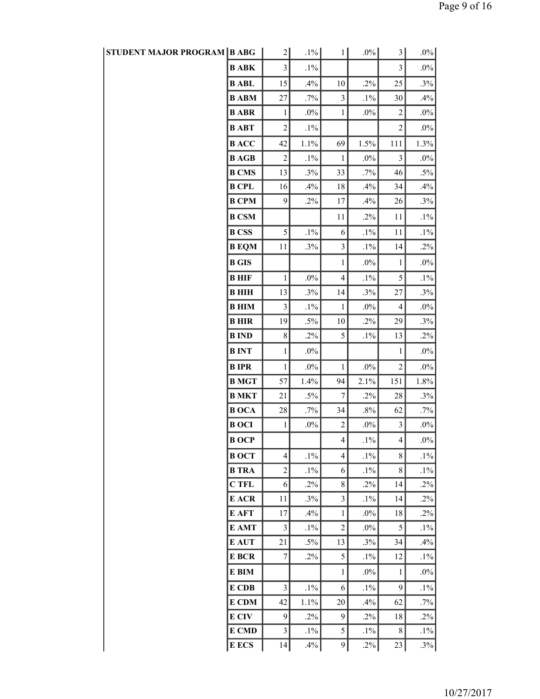| STUDENT MAJOR PROGRAM   B ABG |              | $\overline{2}$          | $.1\%$ | $1\vert$                | $.0\%$ | $3\vert$         | $.0\%$  |  |
|-------------------------------|--------------|-------------------------|--------|-------------------------|--------|------------------|---------|--|
|                               | <b>BABK</b>  | 3                       | $.1\%$ |                         |        | 3                | $.0\%$  |  |
|                               | <b>B</b> ABL | 15                      | .4%    | 10                      | $.2\%$ | 25               | $.3\%$  |  |
|                               | <b>B</b> ABM | 27                      | .7%    | $\overline{\mathbf{3}}$ | $.1\%$ | 30               | .4%     |  |
|                               | <b>B</b> ABR | $\mathbf{1}$            | $.0\%$ | $\mathbf{1}$            | $.0\%$ | $\boldsymbol{2}$ | $.0\%$  |  |
|                               | <b>BABT</b>  | $\overline{c}$          | $.1\%$ |                         |        | $\overline{c}$   | $.0\%$  |  |
|                               | <b>BACC</b>  | 42                      | 1.1%   | 69                      | 1.5%   | 111              | 1.3%    |  |
|                               | <b>B</b> AGB | $\overline{c}$          | $.1\%$ | $\mathbf{1}$            | $.0\%$ | $\mathfrak{Z}$   | $.0\%$  |  |
|                               | <b>B CMS</b> | 13                      | .3%    | 33                      | .7%    | 46               | $.5\%$  |  |
|                               | <b>B</b> CPL | 16                      | .4%    | 18                      | .4%    | 34               | .4%     |  |
|                               | <b>B CPM</b> | 9                       | $.2\%$ | 17                      | .4%    | 26               | .3%     |  |
|                               | <b>B CSM</b> |                         |        | 11                      | $.2\%$ | 11               | $.1\%$  |  |
|                               | <b>B</b> CSS | 5                       | $.1\%$ | 6                       | $.1\%$ | 11               | $.1\%$  |  |
|                               | <b>B</b> EQM | 11                      | .3%    | $\overline{\mathbf{3}}$ | $.1\%$ | 14               | $.2\%$  |  |
|                               | <b>B</b> GIS |                         |        | $\mathbf{1}$            | $.0\%$ | $\mathbf{1}$     | $.0\%$  |  |
|                               | <b>B</b> HIF | $\mathbf{1}$            | $.0\%$ | $\overline{4}$          | $.1\%$ | 5                | $.1\%$  |  |
|                               | <b>BHIH</b>  | 13                      | .3%    | 14                      | $.3\%$ | 27               | $.3\%$  |  |
|                               | <b>B</b> HIM | 3                       | $.1\%$ | $\mathbf{1}$            | $.0\%$ | 4                | $.0\%$  |  |
|                               | <b>BHIR</b>  | 19                      | $.5\%$ | 10                      | $.2\%$ | 29               | .3%     |  |
|                               | <b>B</b> IND | $8\,$                   | $.2\%$ | 5                       | $.1\%$ | 13               | .2%     |  |
|                               | <b>BINT</b>  | $\mathbf{1}$            | $.0\%$ |                         |        | 1                | $.0\%$  |  |
|                               | <b>BIPR</b>  | $\mathbf{1}$            | $.0\%$ | $\mathbf{1}$            | $.0\%$ | $\mathbf{2}$     | $.0\%$  |  |
|                               | <b>B</b> MGT | 57                      | 1.4%   | 94                      | 2.1%   | 151              | $1.8\%$ |  |
|                               | <b>B MKT</b> | 21                      | $.5\%$ | $\boldsymbol{7}$        | $.2\%$ | 28               | $.3\%$  |  |
|                               | <b>BOCA</b>  | $28\,$                  | $.7\%$ | 34                      | $.8\%$ | 62               | .7%     |  |
|                               | <b>BOCI</b>  | 1                       | $.0\%$ | $\overline{c}$          | $.0\%$ | 3                | $.0\%$  |  |
|                               | <b>BOCP</b>  |                         |        | $\overline{4}$          | $.1\%$ | $\overline{4}$   | $.0\%$  |  |
|                               | <b>BOCT</b>  | $\overline{4}$          | $.1\%$ | 4                       | $.1\%$ | 8                | $.1\%$  |  |
|                               | <b>B</b> TRA | $\overline{c}$          | $.1\%$ | 6                       | $.1\%$ | $8\,$            | $.1\%$  |  |
|                               | <b>CTFL</b>  | 6                       | $.2\%$ | $8\,$                   | $.2\%$ | 14               | $.2\%$  |  |
|                               | E ACR        | 11                      | $.3\%$ | 3                       | $.1\%$ | 14               | $.2\%$  |  |
|                               | E AFT        | 17                      | .4%    | $\mathbf{1}$            | $.0\%$ | 18               | $.2\%$  |  |
|                               | E AMT        | $\overline{\mathbf{3}}$ | $.1\%$ | $\overline{2}$          | $.0\%$ | 5                | $.1\%$  |  |
|                               | E AUT        | 21                      | $.5\%$ | 13                      | $.3\%$ | 34               | .4%     |  |
|                               | E BCR        | 7                       | $.2\%$ | 5                       | $.1\%$ | 12               | $.1\%$  |  |
|                               | E BIM        |                         |        | $\mathbf{1}$            | $.0\%$ | 1                | $.0\%$  |  |
|                               | E CDB        | 3                       | $.1\%$ | 6                       | $.1\%$ | 9                | $.1\%$  |  |
|                               | E CDM        | 42                      | 1.1%   | 20                      | .4%    | 62               | $.7\%$  |  |
|                               | E CIV        | 9                       | $.2\%$ | 9                       | $.2\%$ | 18               | $.2\%$  |  |
|                               | E CMD        | 3                       | $.1\%$ | 5                       | $.1\%$ | 8                | $.1\%$  |  |
|                               | <b>E</b> ECS | 14                      | .4%    | 9                       | $.2\%$ | 23               | .3%     |  |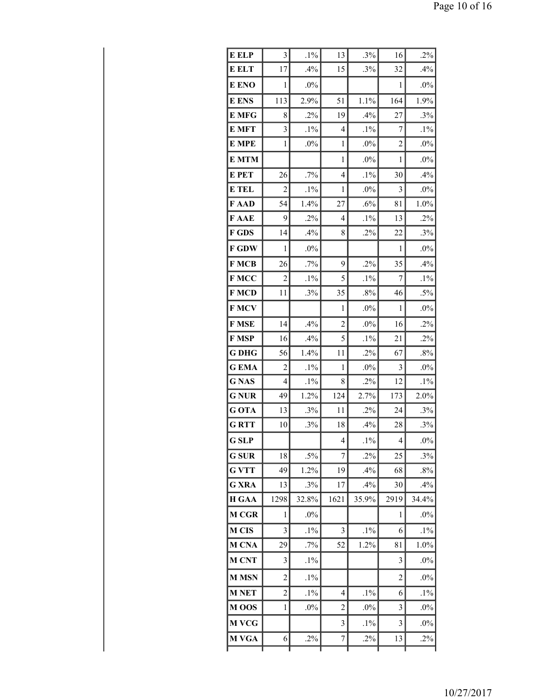| E ELP            | 3              | $.1\%$ | 13             | .3%    | 16                       | $.2\%$ |
|------------------|----------------|--------|----------------|--------|--------------------------|--------|
| <b>E ELT</b>     | 17             | .4%    | 15             | .3%    | 32                       | .4%    |
| E ENO            | 1              | $.0\%$ |                |        | 1                        | $.0\%$ |
| <b>E</b> ENS     | 113            | 2.9%   | 51             | 1.1%   | 164                      | 1.9%   |
| E MFG            | 8              | .2%    | 19             | .4%    | 27                       | .3%    |
| E MFT            | 3              | $.1\%$ | $\overline{4}$ | $.1\%$ | 7                        | $.1\%$ |
| E MPE            | 1              | $.0\%$ | 1              | $.0\%$ | $\overline{c}$           | $.0\%$ |
| <b>E MTM</b>     |                |        | 1              | $.0\%$ | 1                        | $.0\%$ |
| E PET            | 26             | .7%    | $\overline{4}$ | $.1\%$ | 30                       | .4%    |
| <b>E</b> TEL     | $\overline{c}$ | $.1\%$ | 1              | .0%    | 3                        | $.0\%$ |
| F AAD            | 54             | 1.4%   | 27             | .6%    | 81                       | 1.0%   |
| F AAE            | 9              | .2%    | $\overline{4}$ | $.1\%$ | 13                       | .2%    |
| F GDS            | 14             | .4%    | 8              | .2%    | 22                       | .3%    |
| <b>F GDW</b>     | 1              | $.0\%$ |                |        | 1                        | .0%    |
| <b>FMCB</b>      | 26             | .7%    | 9              | .2%    | 35                       | .4%    |
| F MCC            | $\overline{2}$ | $.1\%$ | 5              | $.1\%$ | 7                        | $.1\%$ |
| F MCD            | 11             | .3%    | 35             | $.8\%$ | 46                       | $.5\%$ |
| F MCV            |                |        | $\mathbf{1}$   | $.0\%$ | $\mathbf{1}$             | $.0\%$ |
| F MSE            | 14             | .4%    | $\overline{2}$ | $.0\%$ | 16                       | .2%    |
| <b>F MSP</b>     | 16             | .4%    | 5              | $.1\%$ | 21                       | .2%    |
| G DHG            | 56             | 1.4%   | 11             | $.2\%$ | 67                       | .8%    |
| <b>GEMA</b>      | $\overline{2}$ | $.1\%$ | $\mathbf{1}$   | $.0\%$ | 3                        | $.0\%$ |
| <b>GNAS</b>      | 4              | $.1\%$ | 8              | $.2\%$ | 12                       | $.1\%$ |
| <b>GNUR</b>      | 49             | 1.2%   | 124            | 2.7%   | 173                      | 2.0%   |
| G OTA            | 13             | .3%    | 11             | $.2\%$ | 24                       | .3%    |
| <b>GRTT</b>      | 10             | .3%    | 18             | .4%    | 28                       | .3%    |
| <b>G</b> SLP     |                |        | 4              | $.1\%$ | $\overline{\mathcal{A}}$ | $.0\%$ |
| <b>G</b> SUR     | 18             | $.5\%$ | 7              | $.2\%$ | 25                       | .3%    |
| <b>G VTT</b>     | 49             | 1.2%   | 19             | .4%    | 68                       | $.8\%$ |
| <b>G XRA</b>     | 13             | .3%    | 17             | .4%    | 30                       | .4%    |
| <b>H GAA</b>     | 1298           | 32.8%  | 1621           | 35.9%  | 2919                     | 34.4%  |
| <b>M CGR</b>     | 1              | $.0\%$ |                |        | 1                        | $.0\%$ |
| <b>M CIS</b>     | 3              | $.1\%$ | 3              | $.1\%$ | 6                        | $.1\%$ |
| M CNA            | 29             | .7%    | 52             | 1.2%   | 81                       | 1.0%   |
| <b>M CNT</b>     | 3              | $.1\%$ |                |        | 3                        | $.0\%$ |
| <b>M MSN</b>     | $\overline{c}$ | $.1\%$ |                |        | $\overline{c}$           | .0%    |
| <b>M NET</b>     | $\overline{c}$ | $.1\%$ | 4              | $.1\%$ | 6                        | $.1\%$ |
| M <sub>oos</sub> | 1              | $.0\%$ | $\overline{c}$ | $.0\%$ | 3                        | $.0\%$ |
| <b>M VCG</b>     |                |        | 3              | $.1\%$ | 3                        | $.0\%$ |
| M VGA            | 6              | .2%    | 7              | .2%    | 13                       | $.2\%$ |
|                  |                |        |                |        |                          |        |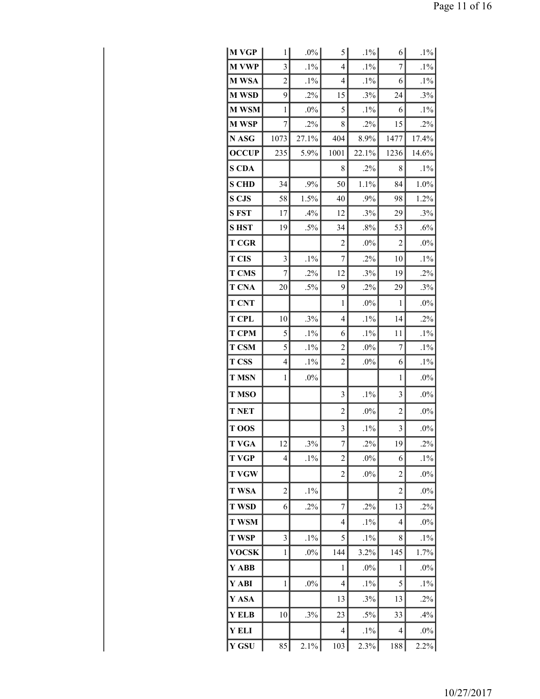| M VGP        | 1              | $.0\%$ | 5              | $.1\%$ | 6              | $.1\%$ |
|--------------|----------------|--------|----------------|--------|----------------|--------|
| <b>M VWP</b> | 3              | $.1\%$ | 4              | $.1\%$ | 7              | $.1\%$ |
| M WSA        | $\overline{c}$ | $.1\%$ | 4              | $.1\%$ | 6              | $.1\%$ |
| <b>M WSD</b> | 9              | .2%    | 15             | .3%    | 24             | .3%    |
| <b>M WSM</b> | 1              | $.0\%$ | 5              | $.1\%$ | 6              | $.1\%$ |
| <b>M WSP</b> | 7              | .2%    | 8              | .2%    | 15             | .2%    |
| N ASG        | 1073           | 27.1%  | 404            | 8.9%   | 1477           | 17.4%  |
| <b>OCCUP</b> | 235            | 5.9%   | 1001           | 22.1%  | 1236           | 14.6%  |
| <b>S CDA</b> |                |        | 8              | $.2\%$ | 8              | $.1\%$ |
| <b>S CHD</b> | 34             | .9%    | 50             | 1.1%   | 84             | 1.0%   |
| <b>S CJS</b> | 58             | 1.5%   | 40             | .9%    | 98             | 1.2%   |
| <b>SFST</b>  | 17             | .4%    | 12             | .3%    | 29             | .3%    |
| <b>SHST</b>  | 19             | $.5\%$ | 34             | $.8\%$ | 53             | .6%    |
| <b>T CGR</b> |                |        | 2              | $.0\%$ | 2              | $.0\%$ |
| <b>T CIS</b> | 3              | $.1\%$ | 7              | .2%    | 10             | $.1\%$ |
| <b>T CMS</b> | 7              | .2%    | 12             | .3%    | 19             | .2%    |
| <b>T CNA</b> | 20             | $.5\%$ | 9              | .2%    | 29             | .3%    |
| <b>T CNT</b> |                |        | 1              | $.0\%$ | 1              | $.0\%$ |
| <b>T CPL</b> | 10             | .3%    | $\overline{4}$ | $.1\%$ | 14             | .2%    |
| <b>T CPM</b> | 5              | $.1\%$ | 6              | $.1\%$ | 11             | $.1\%$ |
| <b>T CSM</b> | 5              | $.1\%$ | 2              | $.0\%$ | 7              | $.1\%$ |
| <b>T CSS</b> | 4              | $.1\%$ | $\overline{c}$ | $.0\%$ | 6              | $.1\%$ |
| <b>T MSN</b> | $\mathbf{1}$   | $.0\%$ |                |        | $\mathbf{1}$   | $.0\%$ |
| <b>T MSO</b> |                |        | 3              | $.1\%$ | 3              | $.0\%$ |
| <b>T NET</b> |                |        | $\overline{c}$ | .0%    | $\overline{c}$ | $.0\%$ |
| T OOS        |                |        | 3              | $.1\%$ | $\mathfrak{Z}$ | $.0\%$ |
| <b>T VGA</b> | 12             | .3%    | 7              | .2%    | 19             | .2%    |
| <b>T VGP</b> | 4              | $.1\%$ | $\overline{c}$ | $.0\%$ | 6              | $.1\%$ |
| <b>T VGW</b> |                |        | $\overline{c}$ | $.0\%$ | $\overline{c}$ | $.0\%$ |
| <b>T WSA</b> | $\overline{c}$ | $.1\%$ |                |        | $\overline{c}$ | $.0\%$ |
| <b>T WSD</b> | 6              | $.2\%$ | 7              | $.2\%$ | 13             | .2%    |
| <b>T WSM</b> |                |        | $\overline{4}$ | $.1\%$ | 4              | $.0\%$ |
| <b>T WSP</b> | 3              | $.1\%$ | 5              | $.1\%$ | 8              | $.1\%$ |
| <b>VOCSK</b> | 1              | $.0\%$ | 144            | 3.2%   | 145            | 1.7%   |
| Y ABB        |                |        | 1              | $.0\%$ | $\mathbf{1}$   | $.0\%$ |
| Y ABI        | $\mathbf{1}$   | $.0\%$ | $\overline{4}$ | $.1\%$ | 5              | $.1\%$ |
| Y ASA        |                |        | 13             | .3%    | 13             | .2%    |
| Y ELB        | 10             | .3%    | 23             | .5%    | 33             | .4%    |
| <b>YELI</b>  |                |        | $\overline{4}$ | $.1\%$ | $\overline{4}$ | $.0\%$ |
| Y GSU        | 85             | 2.1%   | 103            | 2.3%   | 188            | 2.2%   |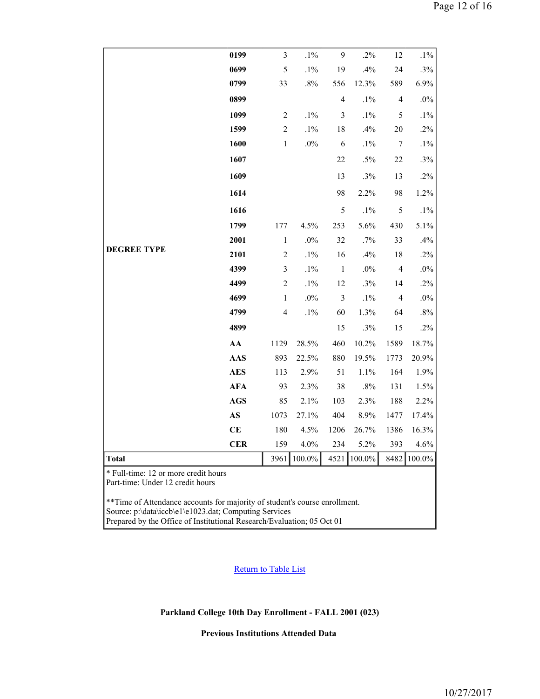|                                                                                                                                                         | 0199                   | $\mathfrak{Z}$                                                                                                                  | $.1\%$  | $\overline{9}$           | .2%    | 12             | $.1\%$  |  |  |  |  |  |
|---------------------------------------------------------------------------------------------------------------------------------------------------------|------------------------|---------------------------------------------------------------------------------------------------------------------------------|---------|--------------------------|--------|----------------|---------|--|--|--|--|--|
|                                                                                                                                                         | 0699                   | 5                                                                                                                               | $.1\%$  | 19                       | .4%    | 24             | .3%     |  |  |  |  |  |
|                                                                                                                                                         | 0799                   | 33                                                                                                                              | $.8\%$  | 556                      | 12.3%  | 589            | 6.9%    |  |  |  |  |  |
|                                                                                                                                                         | 0899                   |                                                                                                                                 |         | $\overline{\mathcal{L}}$ | $.1\%$ | $\overline{4}$ | $.0\%$  |  |  |  |  |  |
|                                                                                                                                                         | 1099                   | $\overline{2}$                                                                                                                  | $.1\%$  | $\mathfrak{Z}$           | $.1\%$ | 5              | $.1\%$  |  |  |  |  |  |
|                                                                                                                                                         | 1599                   | $\sqrt{2}$                                                                                                                      | $.1\%$  | 18                       | .4%    | 20             | .2%     |  |  |  |  |  |
|                                                                                                                                                         | 1600                   | $\mathbf{1}$                                                                                                                    | $.0\%$  | 6                        | $.1\%$ | $\tau$         | $.1\%$  |  |  |  |  |  |
|                                                                                                                                                         | 1607                   |                                                                                                                                 |         | 22                       | $.5\%$ | 22             | .3%     |  |  |  |  |  |
|                                                                                                                                                         | 1609                   |                                                                                                                                 |         | 13                       | .3%    | 13             | .2%     |  |  |  |  |  |
|                                                                                                                                                         | 1614                   |                                                                                                                                 |         | 98                       | 2.2%   | 98             | 1.2%    |  |  |  |  |  |
|                                                                                                                                                         | 1616                   |                                                                                                                                 |         | $\mathfrak s$            | $.1\%$ | $\mathfrak s$  | $.1\%$  |  |  |  |  |  |
|                                                                                                                                                         | 1799                   | 177                                                                                                                             | 4.5%    | 253                      | 5.6%   | 430            | 5.1%    |  |  |  |  |  |
|                                                                                                                                                         | 2001                   | $\mathbf{1}$                                                                                                                    | $.0\%$  | 32                       | .7%    | 33             | .4%     |  |  |  |  |  |
| <b>DEGREE TYPE</b>                                                                                                                                      | 2101                   | $\overline{c}$                                                                                                                  | $.1\%$  | 16                       | .4%    | 18             | $.2\%$  |  |  |  |  |  |
|                                                                                                                                                         | 4399                   | $\mathfrak{Z}$                                                                                                                  | $.1\%$  | $\mathbf 1$              | $.0\%$ | $\overline{4}$ | $.0\%$  |  |  |  |  |  |
|                                                                                                                                                         | 4499                   | $\sqrt{2}$                                                                                                                      | $.1\%$  | 12                       | .3%    | 14             | .2%     |  |  |  |  |  |
|                                                                                                                                                         | 4699                   | $\mathbf{1}$                                                                                                                    | $.0\%$  | $\mathfrak{Z}$           | $.1\%$ | $\overline{4}$ | $.0\%$  |  |  |  |  |  |
|                                                                                                                                                         | 4799                   | 4                                                                                                                               | $.1\%$  | 60                       | 1.3%   | 64             | $.8\%$  |  |  |  |  |  |
|                                                                                                                                                         | 4899                   |                                                                                                                                 |         | 15                       | .3%    | 15             | .2%     |  |  |  |  |  |
|                                                                                                                                                         | ${\bf AA}$             | 1129                                                                                                                            | 28.5%   | 460                      | 10.2%  | 1589           | 18.7%   |  |  |  |  |  |
|                                                                                                                                                         | AAS                    | 893                                                                                                                             | 22.5%   | 880                      | 19.5%  | 1773           | 20.9%   |  |  |  |  |  |
|                                                                                                                                                         | <b>AES</b>             | 113                                                                                                                             | 2.9%    | 51                       | 1.1%   | 164            | 1.9%    |  |  |  |  |  |
|                                                                                                                                                         | <b>AFA</b>             | 93                                                                                                                              | 2.3%    | 38                       | .8%    | 131            | 1.5%    |  |  |  |  |  |
|                                                                                                                                                         | <b>AGS</b>             | 85                                                                                                                              | 2.1%    | 103                      | 2.3%   | 188            | 2.2%    |  |  |  |  |  |
|                                                                                                                                                         | $\mathbf{A}\mathbf{S}$ | 1073                                                                                                                            | 27.1%   | 404                      | 8.9%   | 1477           | 17.4%   |  |  |  |  |  |
|                                                                                                                                                         | <b>CE</b>              | 180                                                                                                                             | 4.5%    | 1206                     | 26.7%  | 1386           | 16.3%   |  |  |  |  |  |
|                                                                                                                                                         | CER                    | 159                                                                                                                             | $4.0\%$ | 234                      | 5.2%   | 393            | $4.6\%$ |  |  |  |  |  |
| Total                                                                                                                                                   |                        | 3961                                                                                                                            | 100.0%  | 4521                     | 100.0% | 8482           | 100.0%  |  |  |  |  |  |
| * Full-time: 12 or more credit hours<br>Part-time: Under 12 credit hours<br>** Time of Attendance accounts for majority of student's course enrollment. |                        |                                                                                                                                 |         |                          |        |                |         |  |  |  |  |  |
|                                                                                                                                                         |                        | Source: p:\data\iccb\e1\e1023.dat; Computing Services<br>Prepared by the Office of Institutional Research/Evaluation; 05 Oct 01 |         |                          |        |                |         |  |  |  |  |  |

**Return to Table List** 

**Parkland College 10th Day Enrollment - FALL 2001 (023)**

**Previous Institutions Attended Data**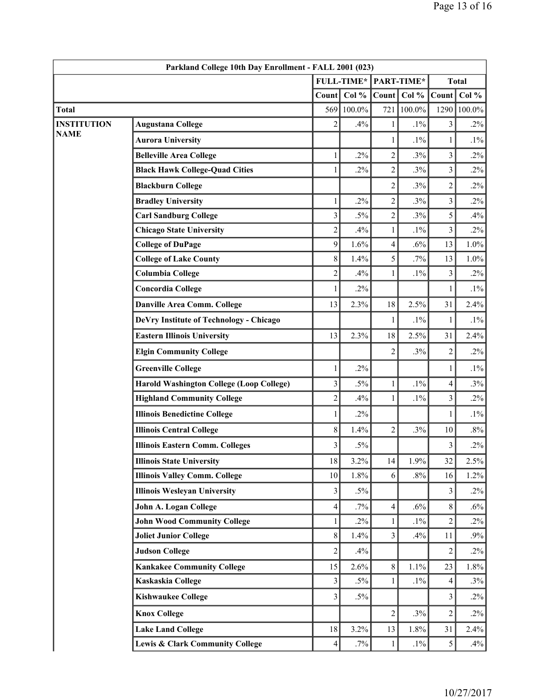|                                   | Parkland College 10th Day Enrollment - FALL 2001 (023) |                |                   |                |            |                         |           |  |  |
|-----------------------------------|--------------------------------------------------------|----------------|-------------------|----------------|------------|-------------------------|-----------|--|--|
|                                   |                                                        |                | <b>FULL-TIME*</b> |                | PART-TIME* | <b>Total</b>            |           |  |  |
|                                   |                                                        | Count          | Col $%$           | Count          | Col %      | Count                   | Col %     |  |  |
| <b>Total</b>                      |                                                        | 569            | 100.0%            | 721            | $100.0\%$  | 1290                    | $100.0\%$ |  |  |
| <b>INSTITUTION</b><br><b>NAME</b> | <b>Augustana College</b>                               | $\overline{2}$ | .4%               | 1              | $.1\%$     | 3                       | $.2\%$    |  |  |
|                                   | <b>Aurora University</b>                               |                |                   | 1              | $.1\%$     | 1                       | $.1\%$    |  |  |
|                                   | <b>Belleville Area College</b>                         | 1              | $.2\%$            | $\overline{c}$ | .3%        | 3                       | $.2\%$    |  |  |
|                                   | <b>Black Hawk College-Quad Cities</b>                  | 1              | $.2\%$            | $\overline{2}$ | .3%        | $\overline{\mathbf{3}}$ | $.2\%$    |  |  |
|                                   | <b>Blackburn College</b>                               |                |                   | $\overline{c}$ | .3%        | $\overline{c}$          | $.2\%$    |  |  |
|                                   | <b>Bradley University</b>                              | $\mathbf{1}$   | .2%               | $\overline{c}$ | .3%        | $\overline{3}$          | $.2\%$    |  |  |
|                                   | <b>Carl Sandburg College</b>                           | $\mathfrak{Z}$ | $.5\%$            | $\overline{c}$ | .3%        | 5                       | .4%       |  |  |
|                                   | <b>Chicago State University</b>                        | $\sqrt{2}$     | .4%               | $\mathbf{1}$   | $.1\%$     | $\overline{\mathbf{3}}$ | $.2\%$    |  |  |
|                                   | <b>College of DuPage</b>                               | 9              | 1.6%              | $\overline{4}$ | .6%        | 13                      | 1.0%      |  |  |
|                                   | <b>College of Lake County</b>                          | $8\,$          | 1.4%              | 5              | .7%        | 13                      | 1.0%      |  |  |
|                                   | <b>Columbia College</b>                                | $\sqrt{2}$     | .4%               | $\mathbf{1}$   | $.1\%$     | 3                       | $.2\%$    |  |  |
|                                   | <b>Concordia College</b>                               | 1              | $.2\%$            |                |            | 1                       | $.1\%$    |  |  |
|                                   | Danville Area Comm. College                            | 13             | 2.3%              | 18             | 2.5%       | 31                      | 2.4%      |  |  |
|                                   | DeVry Institute of Technology - Chicago                |                |                   | 1              | $.1\%$     | 1                       | $.1\%$    |  |  |
|                                   | <b>Eastern Illinois University</b>                     | 13             | 2.3%              | 18             | 2.5%       | 31                      | 2.4%      |  |  |
|                                   | <b>Elgin Community College</b>                         |                |                   | 2              | .3%        | $\overline{c}$          | $.2\%$    |  |  |
|                                   | <b>Greenville College</b>                              | 1              | $.2\%$            |                |            | 1                       | $.1\%$    |  |  |
|                                   | <b>Harold Washington College (Loop College)</b>        | 3              | $.5\%$            | 1              | $.1\%$     | 4                       | .3%       |  |  |
|                                   | <b>Highland Community College</b>                      | $\overline{c}$ | .4%               | $\mathbf{1}$   | $.1\%$     | $\overline{\mathbf{3}}$ | $.2\%$    |  |  |
|                                   | <b>Illinois Benedictine College</b>                    | 1              | $.2\%$            |                |            | 1                       | $.1\%$    |  |  |
|                                   | <b>Illinois Central College</b>                        | $8\,$          | 1.4%              | $\overline{2}$ | .3%        | 10                      | $.8\%$    |  |  |
|                                   | <b>Illinois Eastern Comm. Colleges</b>                 | 3              | $.5\%$            |                |            | 3                       | $.2\%$    |  |  |
|                                   | <b>Illinois State University</b>                       | 18             | 3.2%              | 14             | 1.9%       | 32                      | 2.5%      |  |  |
|                                   | <b>Illinois Valley Comm. College</b>                   | 10             | 1.8%              | 6              | $.8\%$     | 16                      | 1.2%      |  |  |
|                                   | <b>Illinois Wesleyan University</b>                    | 3              | $.5\%$            |                |            | 3                       | $.2\%$    |  |  |
|                                   | John A. Logan College                                  | 4              | $.7\%$            | $\overline{4}$ | $.6\%$     | 8                       | $.6\%$    |  |  |
|                                   | <b>John Wood Community College</b>                     | 1              | $.2\%$            | $\mathbf{1}$   | $.1\%$     | $\overline{c}$          | $.2\%$    |  |  |
|                                   | <b>Joliet Junior College</b>                           | $8\,$          | 1.4%              | 3              | .4%        | 11                      | .9%       |  |  |
|                                   | <b>Judson College</b>                                  | $\overline{2}$ | .4%               |                |            | $\overline{c}$          | $.2\%$    |  |  |
|                                   | <b>Kankakee Community College</b>                      | 15             | 2.6%              | $8\,$          | 1.1%       | 23                      | 1.8%      |  |  |
|                                   | Kaskaskia College                                      | $\mathfrak{Z}$ | $.5\%$            | 1              | $.1\%$     | 4                       | $.3\%$    |  |  |
|                                   | <b>Kishwaukee College</b>                              | 3              | $.5\%$            |                |            | 3                       | $.2\%$    |  |  |
|                                   | <b>Knox College</b>                                    |                |                   | $\overline{c}$ | .3%        | $\overline{c}$          | $.2\%$    |  |  |
|                                   | <b>Lake Land College</b>                               | 18             | 3.2%              | 13             | 1.8%       | 31                      | 2.4%      |  |  |
|                                   | Lewis & Clark Community College                        | 4              | $.7\%$            | 1              | $.1\%$     | 5                       | $.4\%$    |  |  |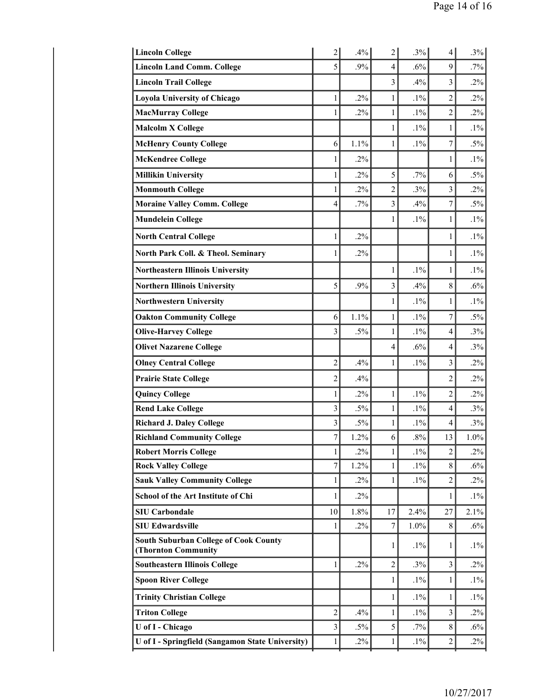| $\overline{c}$ | .4%    | $\overline{2}$ | .3%    | $\overline{4}$ | .3%                     |
|----------------|--------|----------------|--------|----------------|-------------------------|
| 5              | .9%    | 4              | .6%    | 9              | $.7\%$                  |
|                |        | 3              | .4%    | $\overline{3}$ | $.2\%$                  |
| 1              | $.2\%$ | 1              | $.1\%$ | $\overline{c}$ | $.2\%$                  |
| 1              | $.2\%$ | $\mathbf{1}$   | $.1\%$ | $\overline{2}$ | $.2\%$                  |
|                |        | $\mathbf{1}$   | $.1\%$ | 1              | $.1\%$                  |
| 6              | 1.1%   | $\mathbf{1}$   | $.1\%$ | 7              | $.5\%$                  |
| 1              | $.2\%$ |                |        | 1              | $.1\%$                  |
| 1              | $.2\%$ | 5              | $.7\%$ | 6              | $.5\%$                  |
| 1              | $.2\%$ | $\overline{2}$ | $.3\%$ | 3              | $.2\%$                  |
| 4              | $.7\%$ | $\overline{3}$ | .4%    | 7              | $.5\%$                  |
|                |        | 1              | $.1\%$ | 1              | $.1\%$                  |
| 1              | $.2\%$ |                |        | 1              | $.1\%$                  |
| 1              | $.2\%$ |                |        | 1              | $.1\%$                  |
|                |        | 1              | $.1\%$ | 1              | $.1\%$                  |
| 5              | .9%    | $\overline{3}$ | .4%    | 8              | .6%                     |
|                |        | 1              | $.1\%$ | 1              | $.1\%$                  |
| 6              | 1.1%   | 1              | $.1\%$ | 7              | $.5\%$                  |
| 3              | $.5\%$ | $\mathbf{1}$   | $.1\%$ | $\overline{4}$ | $.3\%$                  |
|                |        | 4              | .6%    | $\overline{4}$ | .3%                     |
| $\overline{2}$ | .4%    | 1              | $.1\%$ | 3              | $.2\%$                  |
| $\overline{c}$ | .4%    |                |        | 2              | $.2\%$                  |
| 1              | $.2\%$ | $\mathbf{1}$   | $.1\%$ | $\overline{2}$ | $.2\%$                  |
| 3              | $.5\%$ | $\mathbf{1}$   | $.1\%$ | $\overline{4}$ | .3%                     |
| 3              | $.5\%$ | $\mathbf{1}$   | $.1\%$ | $\overline{4}$ | .3%                     |
| 7              | 1.2%   | 6              | $.8\%$ | 13             | 1.0%                    |
| 1              | $.2\%$ | 1              | $.1\%$ | $\overline{c}$ | $.2\%$                  |
| 7              | 1.2%   | $\mathbf{1}$   | $.1\%$ |                | $.6\%$                  |
| 1              |        | 1              | $.1\%$ |                | $.2\%$                  |
| 1              | $.2\%$ |                |        | 1              | $.1\%$                  |
| 10             | 1.8%   | 17             | 2.4%   | 27             | 2.1%                    |
| 1              | $.2\%$ | 7              | 1.0%   | 8              | $.6\%$                  |
|                |        | 1              | $.1\%$ | 1              | $.1\%$                  |
| 1              | $.2\%$ | $\overline{2}$ | .3%    | 3              | $.2\%$                  |
|                |        | 1              | $.1\%$ | 1              | $.1\%$                  |
|                |        | 1              | $.1\%$ | 1              | $.1\%$                  |
| $\overline{c}$ | .4%    | $\mathbf{1}$   | $.1\%$ | 3              | $.2\%$                  |
| 3              | $.5\%$ | 5              | $.7\%$ | $8\,$          | $.6\%$                  |
| 1              | $.2\%$ | 1              | $.1\%$ | $\overline{2}$ | $.2\%$                  |
|                |        | $.2\%$         |        |                | $8\,$<br>$\overline{c}$ |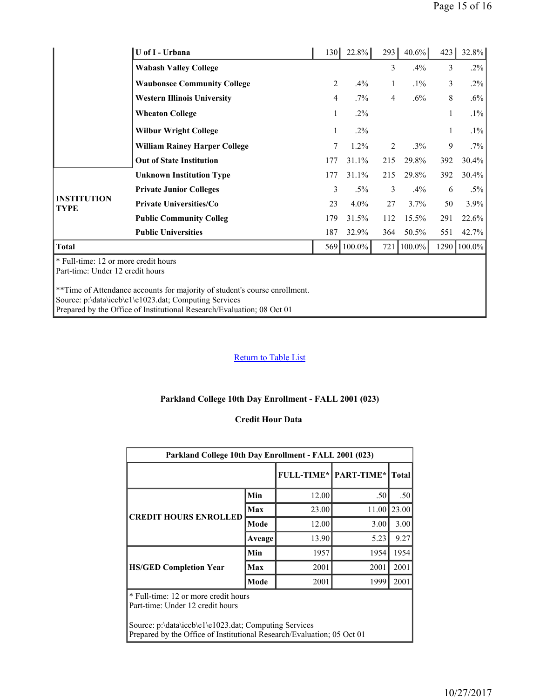|                                   | U of I - Urbana                      | 130 | 22.8%   | 293          | $40.6\%$ | 423          | 32.8%   |
|-----------------------------------|--------------------------------------|-----|---------|--------------|----------|--------------|---------|
|                                   | <b>Wabash Valley College</b>         |     |         | 3            | $.4\%$   | 3            | $.2\%$  |
|                                   | <b>Waubonsee Community College</b>   | 2   | $.4\%$  | $\mathbf{1}$ | $.1\%$   | 3            | $.2\%$  |
|                                   | <b>Western Illinois University</b>   | 4   | $.7\%$  | 4            | $.6\%$   | 8            | $.6\%$  |
|                                   | <b>Wheaton College</b>               | 1   | $.2\%$  |              |          | $\mathbf{1}$ | $.1\%$  |
|                                   | <b>Wilbur Wright College</b>         | 1   | $.2\%$  |              |          | $\mathbf{1}$ | $.1\%$  |
|                                   | <b>William Rainey Harper College</b> | 7   | $1.2\%$ | 2            | $.3\%$   | 9            | $.7\%$  |
|                                   | <b>Out of State Institution</b>      | 177 | 31.1%   | 215          | 29.8%    | 392          | 30.4%   |
|                                   | <b>Unknown Institution Type</b>      | 177 | 31.1%   | 215          | 29.8%    | 392          | 30.4%   |
|                                   | <b>Private Junior Colleges</b>       | 3   | $.5\%$  | 3            | $.4\%$   | 6            | $.5\%$  |
| <b>INSTITUTION</b><br><b>TYPE</b> | <b>Private Universities/Co</b>       | 23  | $4.0\%$ | 27           | 3.7%     | 50           | $3.9\%$ |
|                                   | <b>Public Community Colleg</b>       | 179 | 31.5%   | 112          | 15.5%    | 291          | 22.6%   |
|                                   | <b>Public Universities</b>           | 187 | 32.9%   | 364          | 50.5%    | 551          | 42.7%   |
| <b>Total</b>                      |                                      | 569 | 100.0%  | 721          | 100.0%   | 1290         | 100.0%  |

\* Full-time: 12 or more credit hours Part-time: Under 12 credit hours

\*\*Time of Attendance accounts for majority of student's course enrollment. Source: p:\data\iccb\e1\e1023.dat; Computing Services Prepared by the Office of Institutional Research/Evaluation; 08 Oct 01

# **Return to Table List**

#### **Parkland College 10th Day Enrollment - FALL 2001 (023)**

## **Credit Hour Data**

| Parkland College 10th Day Enrollment - FALL 2001 (023)                                                                          |        |       |                                  |       |  |  |  |  |  |  |  |
|---------------------------------------------------------------------------------------------------------------------------------|--------|-------|----------------------------------|-------|--|--|--|--|--|--|--|
|                                                                                                                                 |        |       | <b>FULL-TIME*   PART-TIME*  </b> | Total |  |  |  |  |  |  |  |
|                                                                                                                                 | Min    | 12.00 | .50                              | .50   |  |  |  |  |  |  |  |
| <b>CREDIT HOURS ENROLLED</b>                                                                                                    | Max    | 23.00 | 11.00                            | 23.00 |  |  |  |  |  |  |  |
|                                                                                                                                 | Mode   | 12.00 | 3.00                             | 3.00  |  |  |  |  |  |  |  |
|                                                                                                                                 | Aveage | 13.90 | 5.23                             | 9.27  |  |  |  |  |  |  |  |
|                                                                                                                                 | Min    | 1957  | 1954                             | 1954  |  |  |  |  |  |  |  |
| <b>HS/GED Completion Year</b>                                                                                                   | Max    | 2001  | 2001                             | 2001  |  |  |  |  |  |  |  |
|                                                                                                                                 | Mode   | 2001  | 1999                             | 2001  |  |  |  |  |  |  |  |
| * Full-time: 12 or more credit hours<br>Part-time: Under 12 credit hours                                                        |        |       |                                  |       |  |  |  |  |  |  |  |
| Source: p:\data\iccb\e1\e1023.dat; Computing Services<br>Prepared by the Office of Institutional Research/Evaluation; 05 Oct 01 |        |       |                                  |       |  |  |  |  |  |  |  |